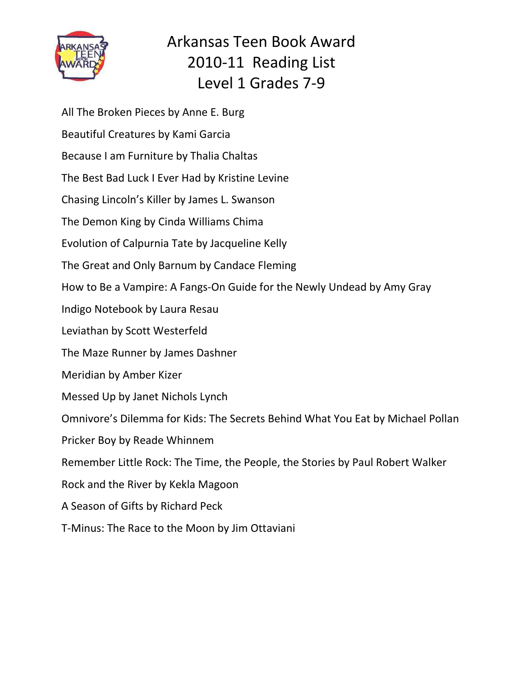

Arkansas Teen Book Award 2010-11 Reading List Level 1 Grades 7-9

All The Broken Pieces by Anne E. Burg Beautiful Creatures by Kami Garcia Because I am Furniture by Thalia Chaltas The Best Bad Luck I Ever Had by Kristine Levine Chasing Lincoln's Killer by James L. Swanson The Demon King by Cinda Williams Chima Evolution of Calpurnia Tate by Jacqueline Kelly The Great and Only Barnum by Candace Fleming How to Be a Vampire: A Fangs-On Guide for the Newly Undead by Amy Gray Indigo Notebook by Laura Resau Leviathan by Scott Westerfeld The Maze Runner by James Dashner Meridian by Amber Kizer Messed Up by Janet Nichols Lynch Omnivore's Dilemma for Kids: The Secrets Behind What You Eat by Michael Pollan Pricker Boy by Reade Whinnem Remember Little Rock: The Time, the People, the Stories by Paul Robert Walker Rock and the River by Kekla Magoon A Season of Gifts by Richard Peck T-Minus: The Race to the Moon by Jim Ottaviani